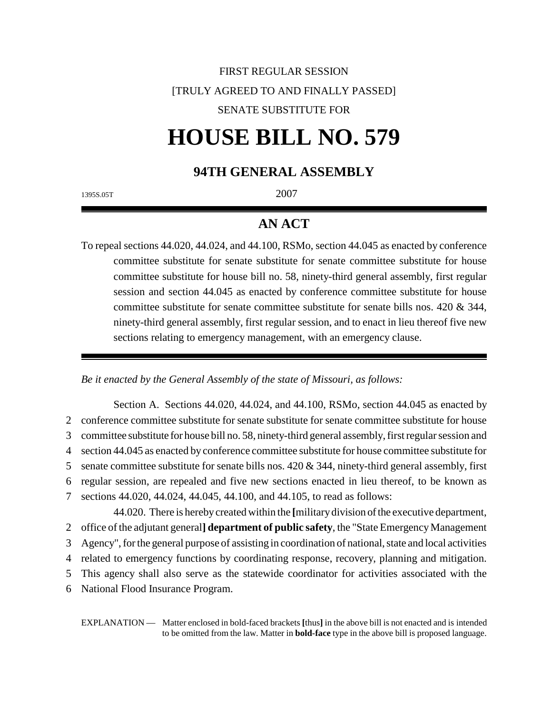## FIRST REGULAR SESSION [TRULY AGREED TO AND FINALLY PASSED] SENATE SUBSTITUTE FOR

# **HOUSE BILL NO. 579**

## **94TH GENERAL ASSEMBLY**

1395S.05T 2007

## **AN ACT**

To repeal sections 44.020, 44.024, and 44.100, RSMo, section 44.045 as enacted by conference committee substitute for senate substitute for senate committee substitute for house committee substitute for house bill no. 58, ninety-third general assembly, first regular session and section 44.045 as enacted by conference committee substitute for house committee substitute for senate committee substitute for senate bills nos. 420 & 344, ninety-third general assembly, first regular session, and to enact in lieu thereof five new sections relating to emergency management, with an emergency clause.

*Be it enacted by the General Assembly of the state of Missouri, as follows:*

Section A. Sections 44.020, 44.024, and 44.100, RSMo, section 44.045 as enacted by conference committee substitute for senate substitute for senate committee substitute for house committee substitute for house bill no. 58, ninety-third general assembly, first regular session and section 44.045 as enacted by conference committee substitute for house committee substitute for 5 senate committee substitute for senate bills nos.  $420 \& 344$ , ninety-third general assembly, first regular session, are repealed and five new sections enacted in lieu thereof, to be known as sections 44.020, 44.024, 44.045, 44.100, and 44.105, to read as follows: 44.020. There is hereby created within the **[**military division of the executive department,

 office of the adjutant general**] department of public safety**, the "State Emergency Management Agency", for the general purpose of assisting in coordination of national, state and local activities related to emergency functions by coordinating response, recovery, planning and mitigation. This agency shall also serve as the statewide coordinator for activities associated with the

6 National Flood Insurance Program.

EXPLANATION — Matter enclosed in bold-faced brackets **[**thus**]** in the above bill is not enacted and is intended to be omitted from the law. Matter in **bold-face** type in the above bill is proposed language.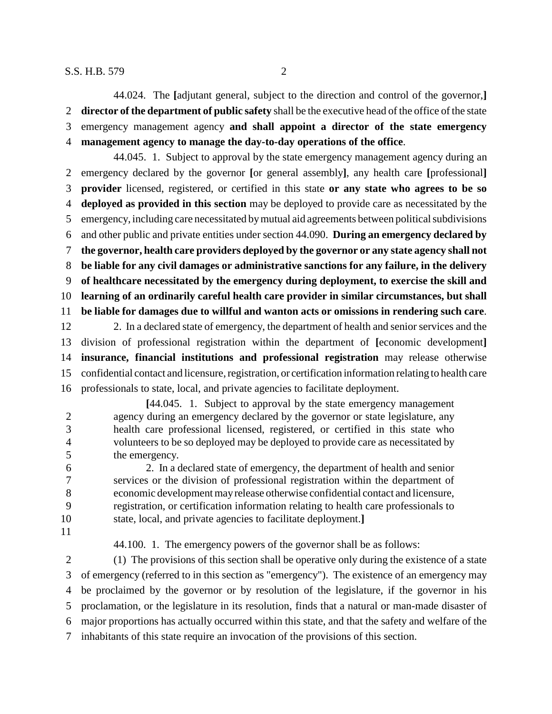44.024. The **[**adjutant general, subject to the direction and control of the governor,**] director of the department of public safety** shall be the executive head of the office of the state emergency management agency **and shall appoint a director of the state emergency management agency to manage the day-to-day operations of the office**.

44.045. 1. Subject to approval by the state emergency management agency during an emergency declared by the governor **[**or general assembly**]**, any health care **[**professional**] provider** licensed, registered, or certified in this state **or any state who agrees to be so deployed as provided in this section** may be deployed to provide care as necessitated by the emergency, including care necessitated by mutual aid agreements between political subdivisions and other public and private entities under section 44.090. **During an emergency declared by the governor, health care providers deployed by the governor or any state agency shall not be liable for any civil damages or administrative sanctions for any failure, in the delivery of healthcare necessitated by the emergency during deployment, to exercise the skill and learning of an ordinarily careful health care provider in similar circumstances, but shall be liable for damages due to willful and wanton acts or omissions in rendering such care**. 2. In a declared state of emergency, the department of health and senior services and the division of professional registration within the department of **[**economic development**] insurance, financial institutions and professional registration** may release otherwise confidential contact and licensure, registration, or certification information relating to health care professionals to state, local, and private agencies to facilitate deployment.

**[**44.045. 1. Subject to approval by the state emergency management agency during an emergency declared by the governor or state legislature, any health care professional licensed, registered, or certified in this state who volunteers to be so deployed may be deployed to provide care as necessitated by the emergency.

 2. In a declared state of emergency, the department of health and senior services or the division of professional registration within the department of economic development may release otherwise confidential contact and licensure, registration, or certification information relating to health care professionals to state, local, and private agencies to facilitate deployment.**]**

44.100. 1. The emergency powers of the governor shall be as follows:

 (1) The provisions of this section shall be operative only during the existence of a state of emergency (referred to in this section as "emergency"). The existence of an emergency may be proclaimed by the governor or by resolution of the legislature, if the governor in his proclamation, or the legislature in its resolution, finds that a natural or man-made disaster of major proportions has actually occurred within this state, and that the safety and welfare of the inhabitants of this state require an invocation of the provisions of this section.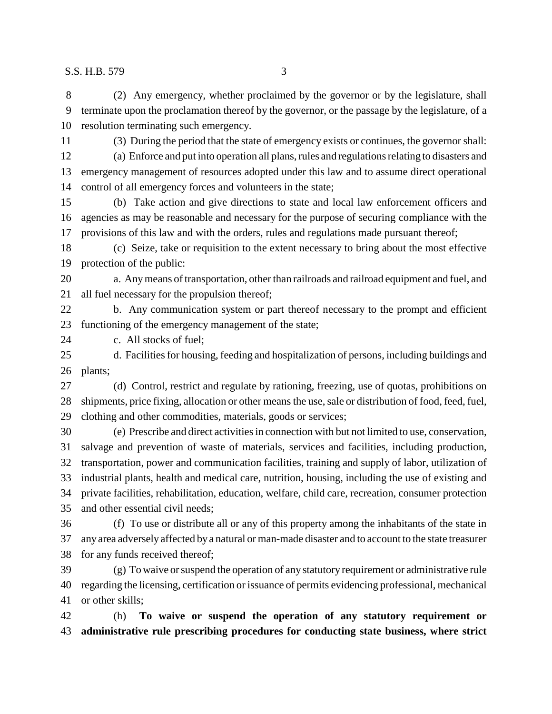(2) Any emergency, whether proclaimed by the governor or by the legislature, shall terminate upon the proclamation thereof by the governor, or the passage by the legislature, of a resolution terminating such emergency. (3) During the period that the state of emergency exists or continues, the governor shall: (a) Enforce and put into operation all plans, rules and regulations relating to disasters and

 emergency management of resources adopted under this law and to assume direct operational control of all emergency forces and volunteers in the state;

 (b) Take action and give directions to state and local law enforcement officers and agencies as may be reasonable and necessary for the purpose of securing compliance with the provisions of this law and with the orders, rules and regulations made pursuant thereof;

 (c) Seize, take or requisition to the extent necessary to bring about the most effective protection of the public:

 a. Any means of transportation, other than railroads and railroad equipment and fuel, and all fuel necessary for the propulsion thereof;

 b. Any communication system or part thereof necessary to the prompt and efficient functioning of the emergency management of the state;

c. All stocks of fuel;

 d. Facilities for housing, feeding and hospitalization of persons, including buildings and plants;

 (d) Control, restrict and regulate by rationing, freezing, use of quotas, prohibitions on shipments, price fixing, allocation or other means the use, sale or distribution of food, feed, fuel, clothing and other commodities, materials, goods or services;

 (e) Prescribe and direct activities in connection with but not limited to use, conservation, salvage and prevention of waste of materials, services and facilities, including production, transportation, power and communication facilities, training and supply of labor, utilization of industrial plants, health and medical care, nutrition, housing, including the use of existing and private facilities, rehabilitation, education, welfare, child care, recreation, consumer protection and other essential civil needs;

 (f) To use or distribute all or any of this property among the inhabitants of the state in any area adversely affected by a natural or man-made disaster and to account to the state treasurer for any funds received thereof;

 (g) To waive or suspend the operation of any statutory requirement or administrative rule regarding the licensing, certification or issuance of permits evidencing professional, mechanical or other skills;

 (h) **To waive or suspend the operation of any statutory requirement or administrative rule prescribing procedures for conducting state business, where strict**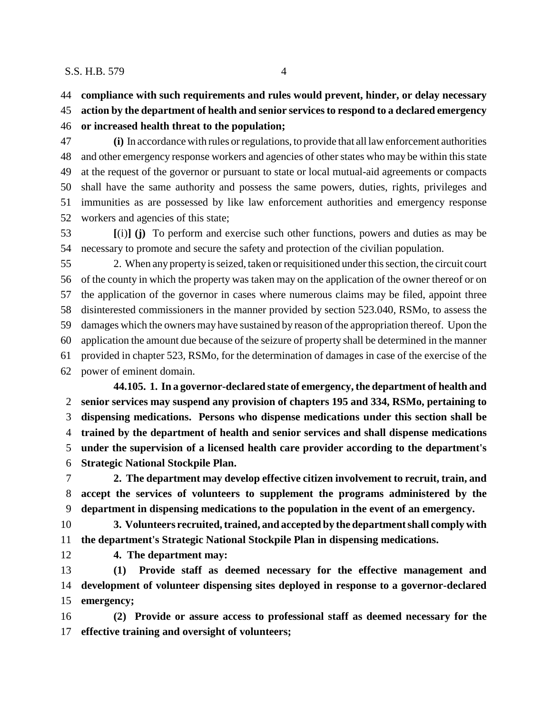**compliance with such requirements and rules would prevent, hinder, or delay necessary**

**action by the department of health and senior services to respond to a declared emergency**

**or increased health threat to the population;**

 **(i)** In accordance with rules or regulations, to provide that all law enforcement authorities and other emergency response workers and agencies of other states who may be within this state at the request of the governor or pursuant to state or local mutual-aid agreements or compacts shall have the same authority and possess the same powers, duties, rights, privileges and immunities as are possessed by like law enforcement authorities and emergency response workers and agencies of this state;

 **[**(i)**] (j)** To perform and exercise such other functions, powers and duties as may be necessary to promote and secure the safety and protection of the civilian population.

 2. When any property is seized, taken or requisitioned under this section, the circuit court of the county in which the property was taken may on the application of the owner thereof or on the application of the governor in cases where numerous claims may be filed, appoint three disinterested commissioners in the manner provided by section 523.040, RSMo, to assess the damages which the owners may have sustained by reason of the appropriation thereof. Upon the application the amount due because of the seizure of property shall be determined in the manner provided in chapter 523, RSMo, for the determination of damages in case of the exercise of the power of eminent domain. **44.105. 1. In a governor-declared state of emergency, the department of health and**

 **senior services may suspend any provision of chapters 195 and 334, RSMo, pertaining to dispensing medications. Persons who dispense medications under this section shall be trained by the department of health and senior services and shall dispense medications under the supervision of a licensed health care provider according to the department's Strategic National Stockpile Plan.**

 **2. The department may develop effective citizen involvement to recruit, train, and accept the services of volunteers to supplement the programs administered by the department in dispensing medications to the population in the event of an emergency.**

 **3. Volunteers recruited, trained, and accepted by the department shall comply with the department's Strategic National Stockpile Plan in dispensing medications.**

**4. The department may:**

 **(1) Provide staff as deemed necessary for the effective management and development of volunteer dispensing sites deployed in response to a governor-declared emergency;**

 **(2) Provide or assure access to professional staff as deemed necessary for the effective training and oversight of volunteers;**